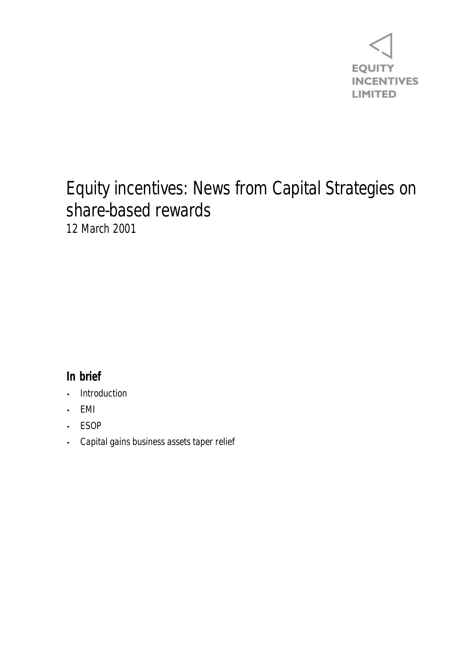

### Equity incentives: News from Capital Strategies on share-based rewards 12 March 2001

### **In brief**

- **Introduction**
- EMI
- ESOP
- Capital gains business assets taper relief